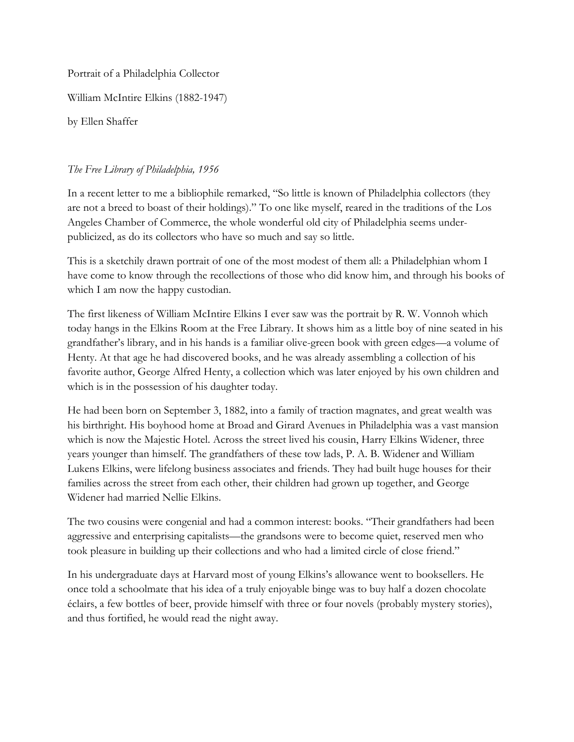Portrait of a Philadelphia Collector

William McIntire Elkins (1882-1947)

by Ellen Shaffer

## *The Free Library of Philadelphia, 1956*

In a recent letter to me a bibliophile remarked, "So little is known of Philadelphia collectors (they are not a breed to boast of their holdings)." To one like myself, reared in the traditions of the Los Angeles Chamber of Commerce, the whole wonderful old city of Philadelphia seems underpublicized, as do its collectors who have so much and say so little.

This is a sketchily drawn portrait of one of the most modest of them all: a Philadelphian whom I have come to know through the recollections of those who did know him, and through his books of which I am now the happy custodian.

The first likeness of William McIntire Elkins I ever saw was the portrait by R. W. Vonnoh which today hangs in the Elkins Room at the Free Library. It shows him as a little boy of nine seated in his grandfather's library, and in his hands is a familiar olive-green book with green edges—a volume of Henty. At that age he had discovered books, and he was already assembling a collection of his favorite author, George Alfred Henty, a collection which was later enjoyed by his own children and which is in the possession of his daughter today.

He had been born on September 3, 1882, into a family of traction magnates, and great wealth was his birthright. His boyhood home at Broad and Girard Avenues in Philadelphia was a vast mansion which is now the Majestic Hotel. Across the street lived his cousin, Harry Elkins Widener, three years younger than himself. The grandfathers of these tow lads, P. A. B. Widener and William Lukens Elkins, were lifelong business associates and friends. They had built huge houses for their families across the street from each other, their children had grown up together, and George Widener had married Nellie Elkins.

The two cousins were congenial and had a common interest: books. "Their grandfathers had been aggressive and enterprising capitalists—the grandsons were to become quiet, reserved men who took pleasure in building up their collections and who had a limited circle of close friend."

In his undergraduate days at Harvard most of young Elkins's allowance went to booksellers. He once told a schoolmate that his idea of a truly enjoyable binge was to buy half a dozen chocolate éclairs, a few bottles of beer, provide himself with three or four novels (probably mystery stories), and thus fortified, he would read the night away.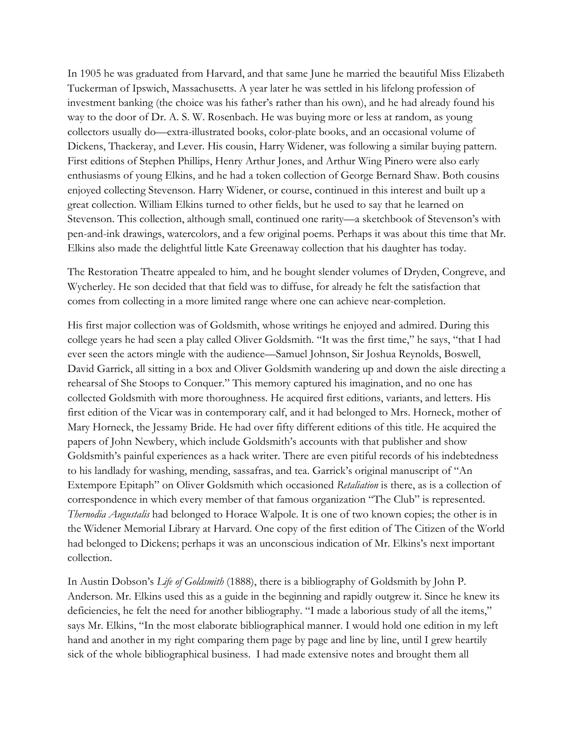In 1905 he was graduated from Harvard, and that same June he married the beautiful Miss Elizabeth Tuckerman of Ipswich, Massachusetts. A year later he was settled in his lifelong profession of investment banking (the choice was his father's rather than his own), and he had already found his way to the door of Dr. A. S. W. Rosenbach. He was buying more or less at random, as young collectors usually do—extra-illustrated books, color-plate books, and an occasional volume of Dickens, Thackeray, and Lever. His cousin, Harry Widener, was following a similar buying pattern. First editions of Stephen Phillips, Henry Arthur Jones, and Arthur Wing Pinero were also early enthusiasms of young Elkins, and he had a token collection of George Bernard Shaw. Both cousins enjoyed collecting Stevenson. Harry Widener, or course, continued in this interest and built up a great collection. William Elkins turned to other fields, but he used to say that he learned on Stevenson. This collection, although small, continued one rarity—a sketchbook of Stevenson's with pen-and-ink drawings, watercolors, and a few original poems. Perhaps it was about this time that Mr. Elkins also made the delightful little Kate Greenaway collection that his daughter has today.

The Restoration Theatre appealed to him, and he bought slender volumes of Dryden, Congreve, and Wycherley. He son decided that that field was to diffuse, for already he felt the satisfaction that comes from collecting in a more limited range where one can achieve near-completion.

His first major collection was of Goldsmith, whose writings he enjoyed and admired. During this college years he had seen a play called Oliver Goldsmith. "It was the first time," he says, "that I had ever seen the actors mingle with the audience—Samuel Johnson, Sir Joshua Reynolds, Boswell, David Garrick, all sitting in a box and Oliver Goldsmith wandering up and down the aisle directing a rehearsal of She Stoops to Conquer." This memory captured his imagination, and no one has collected Goldsmith with more thoroughness. He acquired first editions, variants, and letters. His first edition of the Vicar was in contemporary calf, and it had belonged to Mrs. Horneck, mother of Mary Horneck, the Jessamy Bride. He had over fifty different editions of this title. He acquired the papers of John Newbery, which include Goldsmith's accounts with that publisher and show Goldsmith's painful experiences as a hack writer. There are even pitiful records of his indebtedness to his landlady for washing, mending, sassafras, and tea. Garrick's original manuscript of "An Extempore Epitaph" on Oliver Goldsmith which occasioned *Retaliation* is there, as is a collection of correspondence in which every member of that famous organization "The Club" is represented. *Thernodia Augustalis* had belonged to Horace Walpole. It is one of two known copies; the other is in the Widener Memorial Library at Harvard. One copy of the first edition of The Citizen of the World had belonged to Dickens; perhaps it was an unconscious indication of Mr. Elkins's next important collection.

In Austin Dobson's *Life of Goldsmith* (1888), there is a bibliography of Goldsmith by John P. Anderson. Mr. Elkins used this as a guide in the beginning and rapidly outgrew it. Since he knew its deficiencies, he felt the need for another bibliography. "I made a laborious study of all the items," says Mr. Elkins, "In the most elaborate bibliographical manner. I would hold one edition in my left hand and another in my right comparing them page by page and line by line, until I grew heartily sick of the whole bibliographical business. I had made extensive notes and brought them all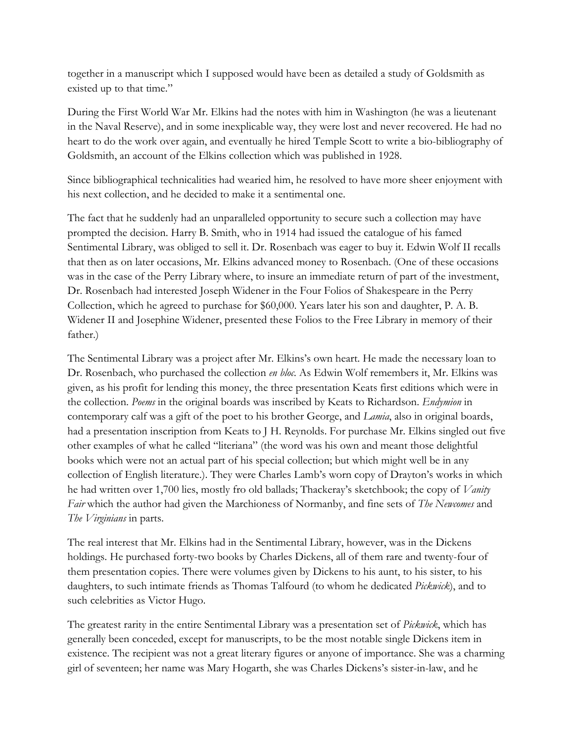together in a manuscript which I supposed would have been as detailed a study of Goldsmith as existed up to that time."

During the First World War Mr. Elkins had the notes with him in Washington (he was a lieutenant in the Naval Reserve), and in some inexplicable way, they were lost and never recovered. He had no heart to do the work over again, and eventually he hired Temple Scott to write a bio-bibliography of Goldsmith, an account of the Elkins collection which was published in 1928.

Since bibliographical technicalities had wearied him, he resolved to have more sheer enjoyment with his next collection, and he decided to make it a sentimental one.

The fact that he suddenly had an unparalleled opportunity to secure such a collection may have prompted the decision. Harry B. Smith, who in 1914 had issued the catalogue of his famed Sentimental Library, was obliged to sell it. Dr. Rosenbach was eager to buy it. Edwin Wolf II recalls that then as on later occasions, Mr. Elkins advanced money to Rosenbach. (One of these occasions was in the case of the Perry Library where, to insure an immediate return of part of the investment, Dr. Rosenbach had interested Joseph Widener in the Four Folios of Shakespeare in the Perry Collection, which he agreed to purchase for \$60,000. Years later his son and daughter, P. A. B. Widener II and Josephine Widener, presented these Folios to the Free Library in memory of their father.)

The Sentimental Library was a project after Mr. Elkins's own heart. He made the necessary loan to Dr. Rosenbach, who purchased the collection *en bloc*. As Edwin Wolf remembers it, Mr. Elkins was given, as his profit for lending this money, the three presentation Keats first editions which were in the collection. *Poems* in the original boards was inscribed by Keats to Richardson. *Endymion* in contemporary calf was a gift of the poet to his brother George, and *Lamia*, also in original boards, had a presentation inscription from Keats to J H. Reynolds. For purchase Mr. Elkins singled out five other examples of what he called "literiana" (the word was his own and meant those delightful books which were not an actual part of his special collection; but which might well be in any collection of English literature.). They were Charles Lamb's worn copy of Drayton's works in which he had written over 1,700 lies, mostly fro old ballads; Thackeray's sketchbook; the copy of *Vanity Fair* which the author had given the Marchioness of Normanby, and fine sets of *The Newcomes* and *The Virginians* in parts.

The real interest that Mr. Elkins had in the Sentimental Library, however, was in the Dickens holdings. He purchased forty-two books by Charles Dickens, all of them rare and twenty-four of them presentation copies. There were volumes given by Dickens to his aunt, to his sister, to his daughters, to such intimate friends as Thomas Talfourd (to whom he dedicated *Pickwick*), and to such celebrities as Victor Hugo.

The greatest rarity in the entire Sentimental Library was a presentation set of *Pickwick*, which has generally been conceded, except for manuscripts, to be the most notable single Dickens item in existence. The recipient was not a great literary figures or anyone of importance. She was a charming girl of seventeen; her name was Mary Hogarth, she was Charles Dickens's sister-in-law, and he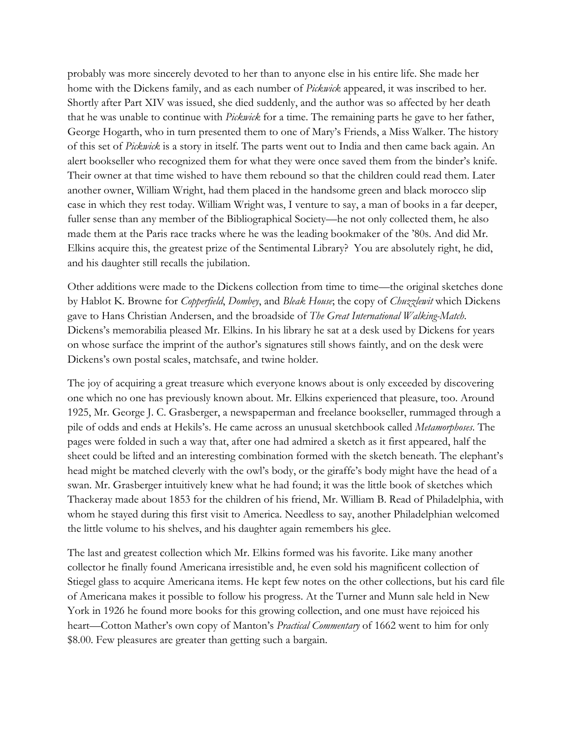probably was more sincerely devoted to her than to anyone else in his entire life. She made her home with the Dickens family, and as each number of *Pickwick* appeared, it was inscribed to her. Shortly after Part XIV was issued, she died suddenly, and the author was so affected by her death that he was unable to continue with *Pickwick* for a time. The remaining parts he gave to her father, George Hogarth, who in turn presented them to one of Mary's Friends, a Miss Walker. The history of this set of *Pickwick* is a story in itself. The parts went out to India and then came back again. An alert bookseller who recognized them for what they were once saved them from the binder's knife. Their owner at that time wished to have them rebound so that the children could read them. Later another owner, William Wright, had them placed in the handsome green and black morocco slip case in which they rest today. William Wright was, I venture to say, a man of books in a far deeper, fuller sense than any member of the Bibliographical Society—he not only collected them, he also made them at the Paris race tracks where he was the leading bookmaker of the '80s. And did Mr. Elkins acquire this, the greatest prize of the Sentimental Library? You are absolutely right, he did, and his daughter still recalls the jubilation.

Other additions were made to the Dickens collection from time to time—the original sketches done by Hablot K. Browne for *Copperfield*, *Dombey*, and *Bleak House*; the copy of *Chuzzlewit* which Dickens gave to Hans Christian Andersen, and the broadside of *The Great International Walking-Match*. Dickens's memorabilia pleased Mr. Elkins. In his library he sat at a desk used by Dickens for years on whose surface the imprint of the author's signatures still shows faintly, and on the desk were Dickens's own postal scales, matchsafe, and twine holder.

The joy of acquiring a great treasure which everyone knows about is only exceeded by discovering one which no one has previously known about. Mr. Elkins experienced that pleasure, too. Around 1925, Mr. George J. C. Grasberger, a newspaperman and freelance bookseller, rummaged through a pile of odds and ends at Hekils's. He came across an unusual sketchbook called *Metamorphoses*. The pages were folded in such a way that, after one had admired a sketch as it first appeared, half the sheet could be lifted and an interesting combination formed with the sketch beneath. The elephant's head might be matched cleverly with the owl's body, or the giraffe's body might have the head of a swan. Mr. Grasberger intuitively knew what he had found; it was the little book of sketches which Thackeray made about 1853 for the children of his friend, Mr. William B. Read of Philadelphia, with whom he stayed during this first visit to America. Needless to say, another Philadelphian welcomed the little volume to his shelves, and his daughter again remembers his glee.

The last and greatest collection which Mr. Elkins formed was his favorite. Like many another collector he finally found Americana irresistible and, he even sold his magnificent collection of Stiegel glass to acquire Americana items. He kept few notes on the other collections, but his card file of Americana makes it possible to follow his progress. At the Turner and Munn sale held in New York in 1926 he found more books for this growing collection, and one must have rejoiced his heart—Cotton Mather's own copy of Manton's *Practical Commentary* of 1662 went to him for only \$8.00. Few pleasures are greater than getting such a bargain.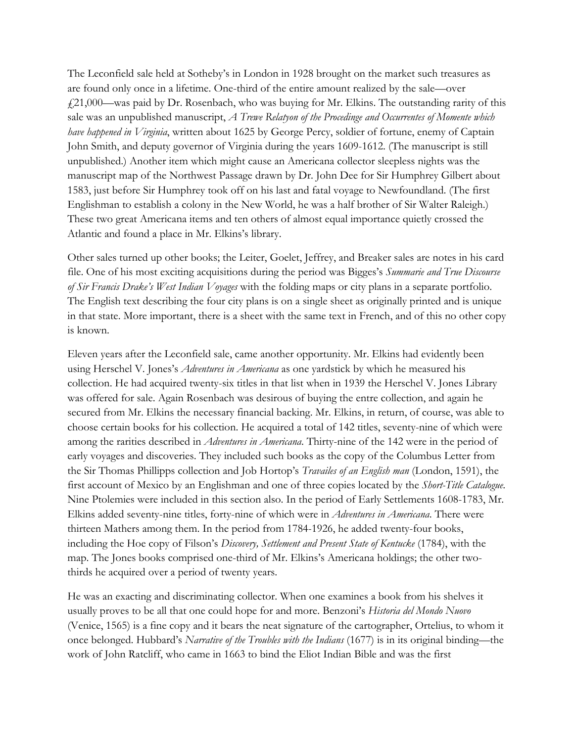The Leconfield sale held at Sotheby's in London in 1928 brought on the market such treasures as are found only once in a lifetime. One-third of the entire amount realized by the sale—over  $£21,000$ —was paid by Dr. Rosenbach, who was buying for Mr. Elkins. The outstanding rarity of this sale was an unpublished manuscript, *A Trewe Relatyon of the Procedinge and Occurrentes of Momente which have happened in Virginia*, written about 1625 by George Percy, soldier of fortune, enemy of Captain John Smith, and deputy governor of Virginia during the years 1609-1612. (The manuscript is still unpublished.) Another item which might cause an Americana collector sleepless nights was the manuscript map of the Northwest Passage drawn by Dr. John Dee for Sir Humphrey Gilbert about 1583, just before Sir Humphrey took off on his last and fatal voyage to Newfoundland. (The first Englishman to establish a colony in the New World, he was a half brother of Sir Walter Raleigh.) These two great Americana items and ten others of almost equal importance quietly crossed the Atlantic and found a place in Mr. Elkins's library.

Other sales turned up other books; the Leiter, Goelet, Jeffrey, and Breaker sales are notes in his card file. One of his most exciting acquisitions during the period was Bigges's *Summarie and True Discourse of Sir Francis Drake's West Indian Voyages* with the folding maps or city plans in a separate portfolio. The English text describing the four city plans is on a single sheet as originally printed and is unique in that state. More important, there is a sheet with the same text in French, and of this no other copy is known.

Eleven years after the Leconfield sale, came another opportunity. Mr. Elkins had evidently been using Herschel V. Jones's *Adventures in Americana* as one yardstick by which he measured his collection. He had acquired twenty-six titles in that list when in 1939 the Herschel V. Jones Library was offered for sale. Again Rosenbach was desirous of buying the entre collection, and again he secured from Mr. Elkins the necessary financial backing. Mr. Elkins, in return, of course, was able to choose certain books for his collection. He acquired a total of 142 titles, seventy-nine of which were among the rarities described in *Adventures in Americana*. Thirty-nine of the 142 were in the period of early voyages and discoveries. They included such books as the copy of the Columbus Letter from the Sir Thomas Phillipps collection and Job Hortop's *Travailes of an English man* (London, 1591), the first account of Mexico by an Englishman and one of three copies located by the *Short-Title Catalogue*. Nine Ptolemies were included in this section also. In the period of Early Settlements 1608-1783, Mr. Elkins added seventy-nine titles, forty-nine of which were in *Adventures in Americana*. There were thirteen Mathers among them. In the period from 1784-1926, he added twenty-four books, including the Hoe copy of Filson's *Discovery, Settlement and Present State of Kentucke* (1784), with the map. The Jones books comprised one-third of Mr. Elkins's Americana holdings; the other twothirds he acquired over a period of twenty years.

He was an exacting and discriminating collector. When one examines a book from his shelves it usually proves to be all that one could hope for and more. Benzoni's *Historia del Mondo Nuovo* (Venice, 1565) is a fine copy and it bears the neat signature of the cartographer, Ortelius, to whom it once belonged. Hubbard's *Narrative of the Troubles with the Indians* (1677) is in its original binding—the work of John Ratcliff, who came in 1663 to bind the Eliot Indian Bible and was the first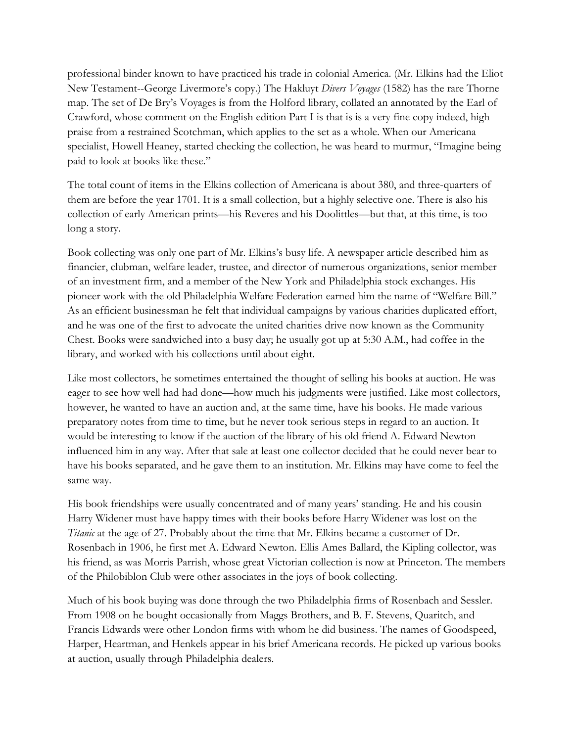professional binder known to have practiced his trade in colonial America. (Mr. Elkins had the Eliot New Testament--George Livermore's copy.) The Hakluyt *Divers Voyages* (1582) has the rare Thorne map. The set of De Bry's Voyages is from the Holford library, collated an annotated by the Earl of Crawford, whose comment on the English edition Part I is that is is a very fine copy indeed, high praise from a restrained Scotchman, which applies to the set as a whole. When our Americana specialist, Howell Heaney, started checking the collection, he was heard to murmur, "Imagine being paid to look at books like these."

The total count of items in the Elkins collection of Americana is about 380, and three-quarters of them are before the year 1701. It is a small collection, but a highly selective one. There is also his collection of early American prints—his Reveres and his Doolittles—but that, at this time, is too long a story.

Book collecting was only one part of Mr. Elkins's busy life. A newspaper article described him as financier, clubman, welfare leader, trustee, and director of numerous organizations, senior member of an investment firm, and a member of the New York and Philadelphia stock exchanges. His pioneer work with the old Philadelphia Welfare Federation earned him the name of "Welfare Bill." As an efficient businessman he felt that individual campaigns by various charities duplicated effort, and he was one of the first to advocate the united charities drive now known as the Community Chest. Books were sandwiched into a busy day; he usually got up at 5:30 A.M., had coffee in the library, and worked with his collections until about eight.

Like most collectors, he sometimes entertained the thought of selling his books at auction. He was eager to see how well had had done—how much his judgments were justified. Like most collectors, however, he wanted to have an auction and, at the same time, have his books. He made various preparatory notes from time to time, but he never took serious steps in regard to an auction. It would be interesting to know if the auction of the library of his old friend A. Edward Newton influenced him in any way. After that sale at least one collector decided that he could never bear to have his books separated, and he gave them to an institution. Mr. Elkins may have come to feel the same way.

His book friendships were usually concentrated and of many years' standing. He and his cousin Harry Widener must have happy times with their books before Harry Widener was lost on the *Titanic* at the age of 27. Probably about the time that Mr. Elkins became a customer of Dr. Rosenbach in 1906, he first met A. Edward Newton. Ellis Ames Ballard, the Kipling collector, was his friend, as was Morris Parrish, whose great Victorian collection is now at Princeton. The members of the Philobiblon Club were other associates in the joys of book collecting.

Much of his book buying was done through the two Philadelphia firms of Rosenbach and Sessler. From 1908 on he bought occasionally from Maggs Brothers, and B. F. Stevens, Quaritch, and Francis Edwards were other London firms with whom he did business. The names of Goodspeed, Harper, Heartman, and Henkels appear in his brief Americana records. He picked up various books at auction, usually through Philadelphia dealers.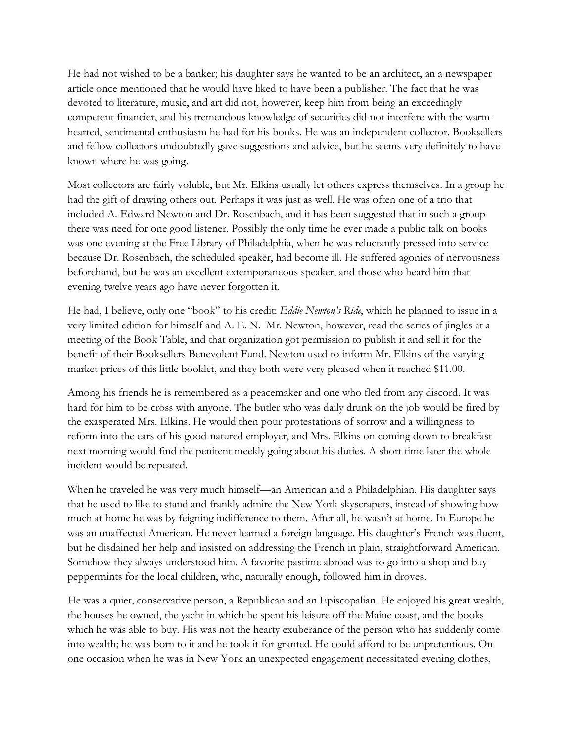He had not wished to be a banker; his daughter says he wanted to be an architect, an a newspaper article once mentioned that he would have liked to have been a publisher. The fact that he was devoted to literature, music, and art did not, however, keep him from being an exceedingly competent financier, and his tremendous knowledge of securities did not interfere with the warmhearted, sentimental enthusiasm he had for his books. He was an independent collector. Booksellers and fellow collectors undoubtedly gave suggestions and advice, but he seems very definitely to have known where he was going.

Most collectors are fairly voluble, but Mr. Elkins usually let others express themselves. In a group he had the gift of drawing others out. Perhaps it was just as well. He was often one of a trio that included A. Edward Newton and Dr. Rosenbach, and it has been suggested that in such a group there was need for one good listener. Possibly the only time he ever made a public talk on books was one evening at the Free Library of Philadelphia, when he was reluctantly pressed into service because Dr. Rosenbach, the scheduled speaker, had become ill. He suffered agonies of nervousness beforehand, but he was an excellent extemporaneous speaker, and those who heard him that evening twelve years ago have never forgotten it.

He had, I believe, only one "book" to his credit: *Eddie Newton's Ride*, which he planned to issue in a very limited edition for himself and A. E. N. Mr. Newton, however, read the series of jingles at a meeting of the Book Table, and that organization got permission to publish it and sell it for the benefit of their Booksellers Benevolent Fund. Newton used to inform Mr. Elkins of the varying market prices of this little booklet, and they both were very pleased when it reached \$11.00.

Among his friends he is remembered as a peacemaker and one who fled from any discord. It was hard for him to be cross with anyone. The butler who was daily drunk on the job would be fired by the exasperated Mrs. Elkins. He would then pour protestations of sorrow and a willingness to reform into the ears of his good-natured employer, and Mrs. Elkins on coming down to breakfast next morning would find the penitent meekly going about his duties. A short time later the whole incident would be repeated.

When he traveled he was very much himself—an American and a Philadelphian. His daughter says that he used to like to stand and frankly admire the New York skyscrapers, instead of showing how much at home he was by feigning indifference to them. After all, he wasn't at home. In Europe he was an unaffected American. He never learned a foreign language. His daughter's French was fluent, but he disdained her help and insisted on addressing the French in plain, straightforward American. Somehow they always understood him. A favorite pastime abroad was to go into a shop and buy peppermints for the local children, who, naturally enough, followed him in droves.

He was a quiet, conservative person, a Republican and an Episcopalian. He enjoyed his great wealth, the houses he owned, the yacht in which he spent his leisure off the Maine coast, and the books which he was able to buy. His was not the hearty exuberance of the person who has suddenly come into wealth; he was born to it and he took it for granted. He could afford to be unpretentious. On one occasion when he was in New York an unexpected engagement necessitated evening clothes,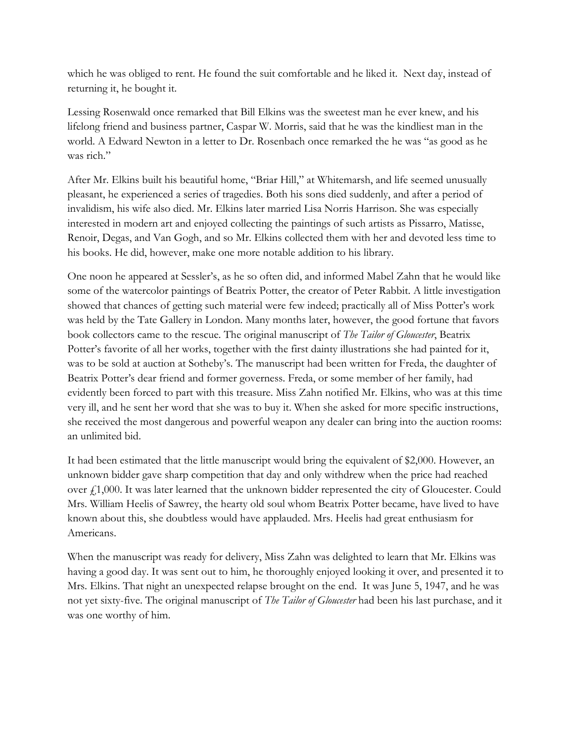which he was obliged to rent. He found the suit comfortable and he liked it. Next day, instead of returning it, he bought it.

Lessing Rosenwald once remarked that Bill Elkins was the sweetest man he ever knew, and his lifelong friend and business partner, Caspar W. Morris, said that he was the kindliest man in the world. A Edward Newton in a letter to Dr. Rosenbach once remarked the he was "as good as he was rich."

After Mr. Elkins built his beautiful home, "Briar Hill," at Whitemarsh, and life seemed unusually pleasant, he experienced a series of tragedies. Both his sons died suddenly, and after a period of invalidism, his wife also died. Mr. Elkins later married Lisa Norris Harrison. She was especially interested in modern art and enjoyed collecting the paintings of such artists as Pissarro, Matisse, Renoir, Degas, and Van Gogh, and so Mr. Elkins collected them with her and devoted less time to his books. He did, however, make one more notable addition to his library.

One noon he appeared at Sessler's, as he so often did, and informed Mabel Zahn that he would like some of the watercolor paintings of Beatrix Potter, the creator of Peter Rabbit. A little investigation showed that chances of getting such material were few indeed; practically all of Miss Potter's work was held by the Tate Gallery in London. Many months later, however, the good fortune that favors book collectors came to the rescue. The original manuscript of *The Tailor of Gloucester*, Beatrix Potter's favorite of all her works, together with the first dainty illustrations she had painted for it, was to be sold at auction at Sotheby's. The manuscript had been written for Freda, the daughter of Beatrix Potter's dear friend and former governess. Freda, or some member of her family, had evidently been forced to part with this treasure. Miss Zahn notified Mr. Elkins, who was at this time very ill, and he sent her word that she was to buy it. When she asked for more specific instructions, she received the most dangerous and powerful weapon any dealer can bring into the auction rooms: an unlimited bid.

It had been estimated that the little manuscript would bring the equivalent of \$2,000. However, an unknown bidder gave sharp competition that day and only withdrew when the price had reached over  $\frac{1}{2}$ 1,000. It was later learned that the unknown bidder represented the city of Gloucester. Could Mrs. William Heelis of Sawrey, the hearty old soul whom Beatrix Potter became, have lived to have known about this, she doubtless would have applauded. Mrs. Heelis had great enthusiasm for Americans.

When the manuscript was ready for delivery, Miss Zahn was delighted to learn that Mr. Elkins was having a good day. It was sent out to him, he thoroughly enjoyed looking it over, and presented it to Mrs. Elkins. That night an unexpected relapse brought on the end. It was June 5, 1947, and he was not yet sixty-five. The original manuscript of *The Tailor of Gloucester* had been his last purchase, and it was one worthy of him.